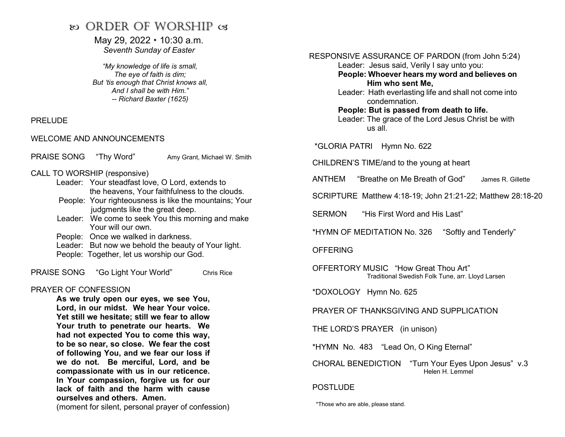# $\infty$  ORDER OF WORSHIP  $\infty$

May 29, 2022  $\cdot$  10:30 a.m. Seventh Sunday of Easter

"My knowledge of life is small, The eye of faith is dim; But 'tis enough that Christ knows all, And I shall be with Him." -- Richard Baxter (1625)

## PRELUDE

WELCOME AND ANNOUNCEMENTS

PRAISE SONG "Thy Word" Amy Grant, Michael W. Smith

## CALL TO WORSHIP (responsive)

- Leader: Your steadfast love, O Lord, extends to the heavens, Your faithfulness to the clouds.
- People: Your righteousness is like the mountains; Your judgments like the great deep.
- Leader: We come to seek You this morning and make Your will our own.

People: Once we walked in darkness.

- Leader: But now we behold the beauty of Your light.
- People: Together, let us worship our God.

PRAISE SONG "Go Light Your World" Chris Rice

## PRAYER OF CONFESSION

As we truly open our eyes, we see You, Lord, in our midst. We hear Your voice. Yet still we hesitate; still we fear to allow Your truth to penetrate our hearts. We had not expected You to come this way, to be so near, so close. We fear the cost of following You, and we fear our loss if we do not. Be merciful, Lord, and be compassionate with us in our reticence. In Your compassion, forgive us for our lack of faith and the harm with cause ourselves and others. Amen.

(moment for silent, personal prayer of confession)

| RESPONSIVE ASSURANCE OF PARDON (from John 5:24)<br>Leader: Jesus said, Verily I say unto you:<br>People: Whoever hears my word and believes on<br>Him who sent Me,<br>Leader: Hath everlasting life and shall not come into<br>condemnation.<br>People: But is passed from death to life.<br>Leader: The grace of the Lord Jesus Christ be with<br>us all. |
|------------------------------------------------------------------------------------------------------------------------------------------------------------------------------------------------------------------------------------------------------------------------------------------------------------------------------------------------------------|
| *GLORIA PATRI<br>Hymn No. 622                                                                                                                                                                                                                                                                                                                              |
| CHILDREN'S TIME/and to the young at heart                                                                                                                                                                                                                                                                                                                  |
| ANTHEM<br>"Breathe on Me Breath of God" James R. Gillette                                                                                                                                                                                                                                                                                                  |
| SCRIPTURE Matthew 4:18-19; John 21:21-22; Matthew 28:18-20                                                                                                                                                                                                                                                                                                 |
| "His First Word and His Last"<br>SERMON                                                                                                                                                                                                                                                                                                                    |
| *HYMN OF MEDITATION No. 326 "Softly and Tenderly"                                                                                                                                                                                                                                                                                                          |
| <b>OFFERING</b>                                                                                                                                                                                                                                                                                                                                            |
| OFFERTORY MUSIC "How Great Thou Art"<br>Traditional Swedish Folk Tune, arr. Lloyd Larsen                                                                                                                                                                                                                                                                   |
| *DOXOLOGY Hymn No. 625                                                                                                                                                                                                                                                                                                                                     |
| PRAYER OF THANKSGIVING AND SUPPLICATION                                                                                                                                                                                                                                                                                                                    |
| THE LORD'S PRAYER (in unison)                                                                                                                                                                                                                                                                                                                              |
| *HYMN No. 483 "Lead On, O King Eternal"                                                                                                                                                                                                                                                                                                                    |
| <b>CHORAL BENEDICTION</b><br>"Turn Your Eyes Upon Jesus" v.3<br>Helen H. Lemmel                                                                                                                                                                                                                                                                            |

## POSTLUDE

\*Those who are able, please stand.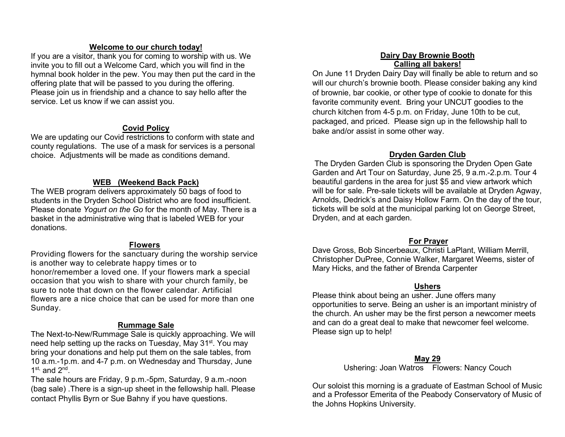## Welcome to our church today!

If you are a visitor, thank you for coming to worship with us. We invite you to fill out a Welcome Card, which you will find in the hymnal book holder in the pew. You may then put the card in the offering plate that will be passed to you during the offering. Please join us in friendship and a chance to say hello after the service. Let us know if we can assist you.

## Covid Policy

We are updating our Covid restrictions to conform with state and county regulations. The use of a mask for services is a personal choice. Adjustments will be made as conditions demand.

## WEB (Weekend Back Pack)

The WEB program delivers approximately 50 bags of food to students in the Dryden School District who are food insufficient. Please donate Yogurt on the Go for the month of May. There is a basket in the administrative wing that is labeled WEB for your donations.

## Flowers

Providing flowers for the sanctuary during the worship service is another way to celebrate happy times or to honor/remember a loved one. If your flowers mark a special occasion that you wish to share with your church family, be sure to note that down on the flower calendar. Artificial flowers are a nice choice that can be used for more than one Sunday.

## Rummage Sale

The Next-to-New/Rummage Sale is quickly approaching. We will need help setting up the racks on Tuesday, May 31<sup>st</sup>. You may bring your donations and help put them on the sale tables, from 10 a.m.-1p.m. and 4-7 p.m. on Wednesday and Thursday, June  $1^{\text{st}}$ , and  $2^{\text{nd}}$ .

The sale hours are Friday, 9 p.m.-5pm, Saturday, 9 a.m.-noon (bag sale) .There is a sign-up sheet in the fellowship hall. Please contact Phyllis Byrn or Sue Bahny if you have questions.

## Dairy Day Brownie Booth Calling all bakers!

On June 11 Dryden Dairy Day will finally be able to return and so will our church's brownie booth. Please consider baking any kind of brownie, bar cookie, or other type of cookie to donate for this favorite community event. Bring your UNCUT goodies to the church kitchen from 4-5 p.m. on Friday, June 10th to be cut, packaged, and priced. Please sign up in the fellowship hall to bake and/or assist in some other way.

# Dryden Garden Club

The Dryden Garden Club is sponsoring the Dryden Open Gate Garden and Art Tour on Saturday, June 25, 9 a.m.-2.p.m. Tour 4 beautiful gardens in the area for just \$5 and view artwork which will be for sale. Pre-sale tickets will be available at Dryden Agway, Arnolds, Dedrick's and Daisy Hollow Farm. On the day of the tour, tickets will be sold at the municipal parking lot on George Street, Dryden, and at each garden.

## For Prayer

Dave Gross, Bob Sincerbeaux, Christi LaPlant, William Merrill, Christopher DuPree, Connie Walker, Margaret Weems, sister of Mary Hicks, and the father of Brenda Carpenter

## Ushers

Please think about being an usher. June offers many opportunities to serve. Being an usher is an important ministry of the church. An usher may be the first person a newcomer meets and can do a great deal to make that newcomer feel welcome. Please sign up to help!

## May 29

Ushering: Joan Watros Flowers: Nancy Couch

Our soloist this morning is a graduate of Eastman School of Music and a Professor Emerita of the Peabody Conservatory of Music of the Johns Hopkins University.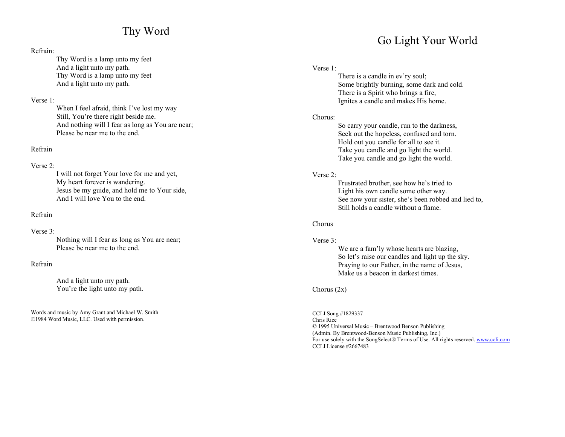# Thy Word

### Refrain:

Thy Word is a lamp unto my feet And a light unto my path. Thy Word is a lamp unto my feet And a light unto my path.

### Verse 1:

When I feel afraid, think I've lost my way Still, You're there right beside me. And nothing will I fear as long as You are near; Please be near me to the end.

### Refrain

### Verse 2:

I will not forget Your love for me and yet, My heart forever is wandering. Jesus be my guide, and hold me to Your side, And I will love You to the end.

### Refrain

### Verse 3:

Nothing will I fear as long as You are near; Please be near me to the end.

### Refrain

And a light unto my path. You're the light unto my path.

Words and music by Amy Grant and Michael W. Smith ©1984 Word Music, LLC. Used with permission.

# Go Light Your World

### Verse 1:

There is a candle in ev'ry soul; Some brightly burning, some dark and cold. There is a Spirit who brings a fire, Ignites a candle and makes His home.

### Chorus:

So carry your candle, run to the darkness, Seek out the hopeless, confused and torn. Hold out you candle for all to see it. Take you candle and go light the world. Take you candle and go light the world.

### Verse 2:

Frustrated brother, see how he's tried to Light his own candle some other way. See now your sister, she's been robbed and lied to, Still holds a candle without a flame.

### Chorus

### Verse 3:

We are a fam'ly whose hearts are blazing, So let's raise our candles and light up the sky. Praying to our Father, in the name of Jesus, Make us a beacon in darkest times.

### Chorus (2x)

CCLI Song #1829337 Chris Rice © 1995 Universal Music – Brentwood Benson Publishing (Admin. By Brentwood-Benson Music Publishing, Inc.) For use solely with the SongSelect® Terms of Use. All rights reserved. www.ccli.com CCLI License #2667483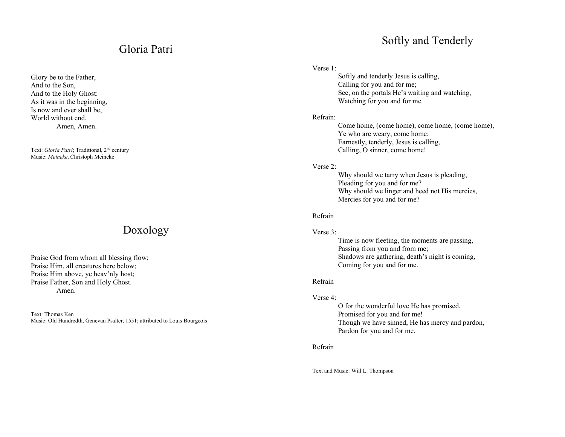# Gloria Patri

Glory be to the Father, And to the Son, And to the Holy Ghost: As it was in the beginning, Is now and ever shall be, World without end. Amen, Amen.

Text: Gloria Patri; Traditional, 2<sup>nd</sup> century Music: Meineke, Christoph Meineke

# Doxology

Praise God from whom all blessing flow; Praise Him, all creatures here below; Praise Him above, ye heav'nly host; Praise Father, Son and Holy Ghost. Amen.

Text: Thomas Ken Music: Old Hundredth, Genevan Psalter, 1551; attributed to Louis Bourgeois

# Softly and Tenderly

#### Verse 1:

Softly and tenderly Jesus is calling, Calling for you and for me; See, on the portals He's waiting and watching, Watching for you and for me.

#### Refrain:

Come home, (come home), come home, (come home), Ye who are weary, come home; Earnestly, tenderly, Jesus is calling, Calling, O sinner, come home!

#### Verse 2:

Why should we tarry when Jesus is pleading, Pleading for you and for me? Why should we linger and heed not His mercies, Mercies for you and for me?

### Refrain

#### Verse 3:

Time is now fleeting, the moments are passing, Passing from you and from me; Shadows are gathering, death's night is coming, Coming for you and for me.

### Refrain

#### Verse 4:

O for the wonderful love He has promised, Promised for you and for me! Though we have sinned, He has mercy and pardon, Pardon for you and for me.

### Refrain

Text and Music: Will L. Thompson